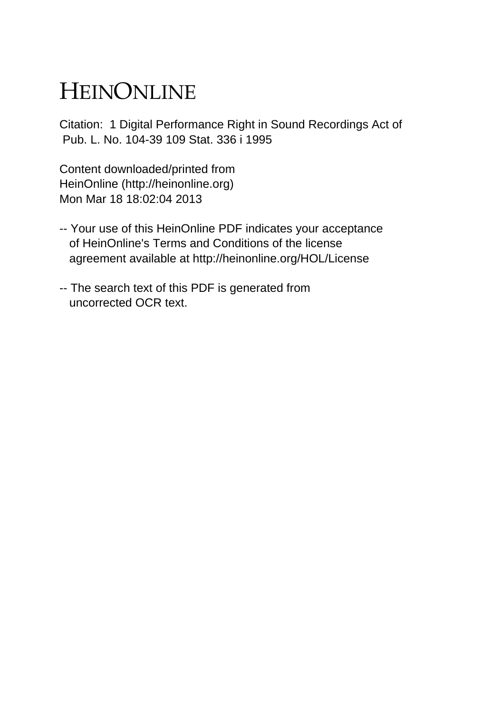# HEINONLINE

Citation: 1 Digital Performance Right in Sound Recordings Act of Pub. L. No. 104-39 109 Stat. 336 i 1995

Content downloaded/printed from HeinOnline (http://heinonline.org) Mon Mar 18 18:02:04 2013

- -- Your use of this HeinOnline PDF indicates your acceptance of HeinOnline's Terms and Conditions of the license agreement available at http://heinonline.org/HOL/License
- -- The search text of this PDF is generated from uncorrected OCR text.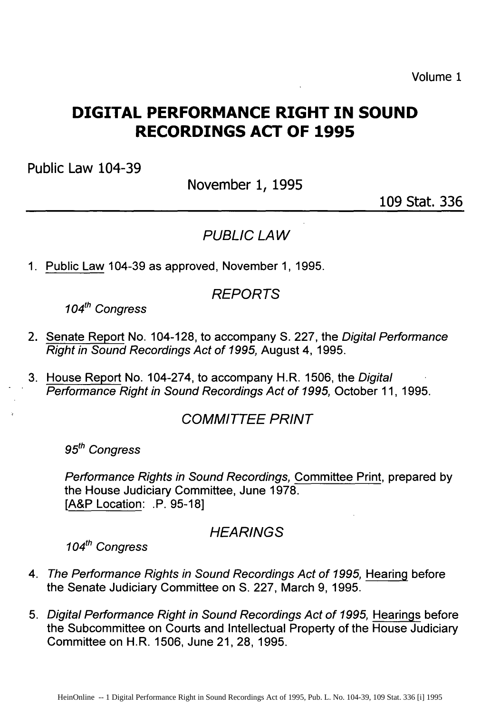# **DIGITAL PERFORMANCE RIGHT IN SOUND RECORDINGS ACT OF 1995**

Public Law 104-39

November 1, 1995

109 Stat. 336

## PUBLIC LAW

1. Public Law 104-39 as approved, November 1, 1995.

### REPORTS

104<sup>th</sup> Congress

- 2. Senate Report No. 104-128, to accompany S. 227, the Digital Performance Right in Sound Recordings Act of 1995, August 4, 1995.
- 3. House Report No. 104-274, to accompany H.R. 1506, the Digital *Performance* Right in Sound Recordings Act of 1995, October 11, 1995.

#### COMMITTEE PRINT

95<sup>th</sup> Congress

Performance Rights in Sound Recordings, Committee Print, prepared by the House Judiciary Committee, June 1978. [A&P Location: .P. 95-18]

#### **HEARINGS**

104<sup>th</sup> Congress

- 4. The Performance Rights in Sound Recordings Act of 1995, Hearing before the Senate Judiciary Committee on S. 227, March 9, 1995.
- 5. Digital Performance Right in Sound Recordings Act of 1995, Hearings before the Subcommittee on Courts and Intellectual Property of the House Judiciary Committee on H.R. 1506, June 21, 28,1995.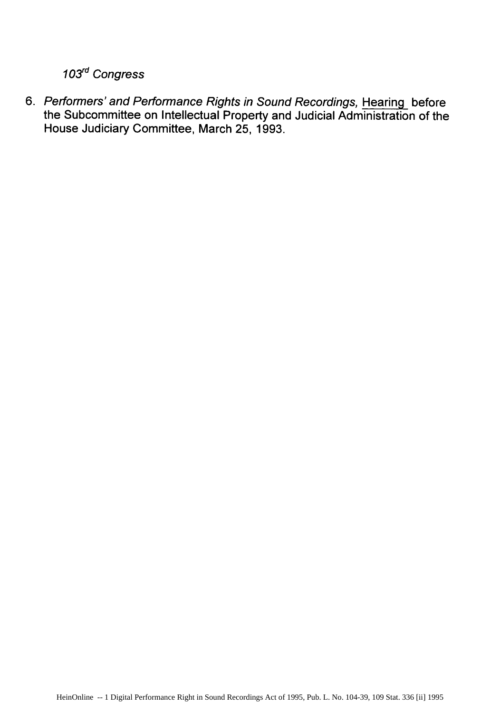103<sup>rd</sup> Congress

6. Performers' and Performance Rights in Sound Recordings, Hearing before the Subcommittee on Intellectual Property and Judicial Administration of the House Judiciary Committee, March 25, 1993.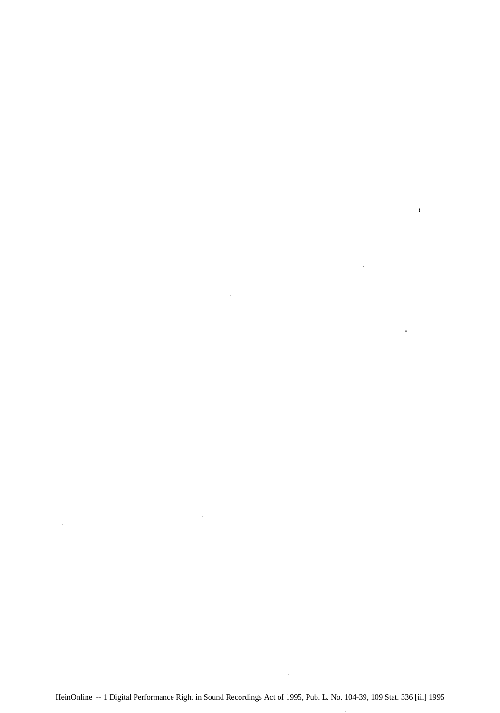HeinOnline -- 1 Digital Performance Right in Sound Recordings Act of 1995, Pub. L. No. 104-39, 109 Stat. 336 [iii] 1995

 $\bar{\mathbf{t}}$ 

 $\ddot{\phantom{0}}$ 

 $\sim$